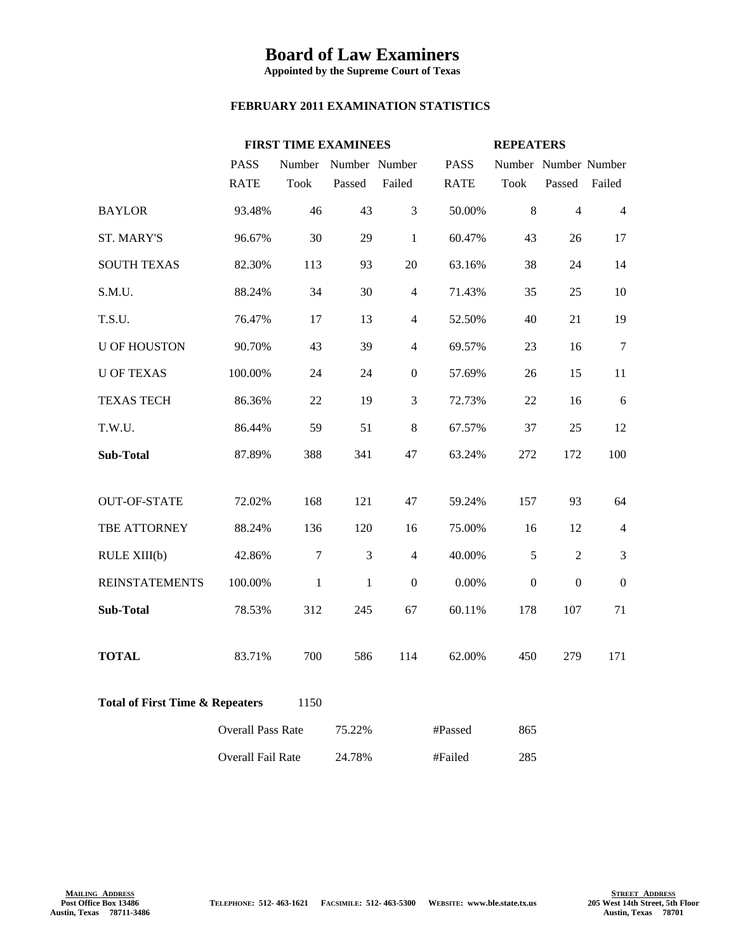## **Board of Law Examiners**

**Appointed by the Supreme Court of Texas**

## **FEBRUARY 2011 EXAMINATION STATISTICS**

|                                                    |                          | <b>FIRST TIME EXAMINEES</b> |               |                  | <b>REPEATERS</b> |                      |                  |                  |
|----------------------------------------------------|--------------------------|-----------------------------|---------------|------------------|------------------|----------------------|------------------|------------------|
|                                                    | <b>PASS</b>              | Number                      | Number Number |                  | <b>PASS</b>      | Number Number Number |                  |                  |
|                                                    | <b>RATE</b>              | <b>Took</b>                 | Passed        | Failed           | <b>RATE</b>      | <b>Took</b>          | Passed           | Failed           |
| <b>BAYLOR</b>                                      | 93.48%                   | 46                          | 43            | 3                | 50.00%           | 8                    | $\overline{4}$   | $\overline{4}$   |
| <b>ST. MARY'S</b>                                  | 96.67%                   | 30                          | 29            | $\mathbf{1}$     | 60.47%           | 43                   | 26               | 17               |
| <b>SOUTH TEXAS</b>                                 | 82.30%                   | 113                         | 93            | 20               | 63.16%           | 38                   | 24               | 14               |
| S.M.U.                                             | 88.24%                   | 34                          | 30            | $\overline{4}$   | 71.43%           | 35                   | 25               | 10               |
| T.S.U.                                             | 76.47%                   | 17                          | 13            | $\overline{4}$   | 52.50%           | 40                   | 21               | 19               |
| <b>U OF HOUSTON</b>                                | 90.70%                   | 43                          | 39            | $\overline{4}$   | 69.57%           | 23                   | 16               | 7                |
| <b>U OF TEXAS</b>                                  | 100.00%                  | 24                          | 24            | $\boldsymbol{0}$ | 57.69%           | 26                   | 15               | 11               |
| <b>TEXAS TECH</b>                                  | 86.36%                   | 22                          | 19            | 3                | 72.73%           | 22                   | 16               | 6                |
| T.W.U.                                             | 86.44%                   | 59                          | 51            | $\,8\,$          | 67.57%           | 37                   | 25               | 12               |
| <b>Sub-Total</b>                                   | 87.89%                   | 388                         | 341           | 47               | 63.24%           | 272                  | 172              | 100              |
|                                                    |                          |                             |               |                  |                  |                      |                  |                  |
| <b>OUT-OF-STATE</b>                                | 72.02%                   | 168                         | 121           | 47               | 59.24%           | 157                  | 93               | 64               |
| TBE ATTORNEY                                       | 88.24%                   | 136                         | 120           | 16               | 75.00%           | 16                   | 12               | $\overline{4}$   |
| RULE XIII(b)                                       | 42.86%                   | $\boldsymbol{7}$            | 3             | $\overline{4}$   | 40.00%           | 5                    | $\overline{2}$   | 3                |
| <b>REINSTATEMENTS</b>                              | 100.00%                  | $\mathbf{1}$                | $\mathbf{1}$  | $\boldsymbol{0}$ | 0.00%            | $\boldsymbol{0}$     | $\boldsymbol{0}$ | $\boldsymbol{0}$ |
| Sub-Total                                          | 78.53%                   | 312                         | 245           | 67               | 60.11%           | 178                  | 107              | 71               |
|                                                    |                          |                             |               |                  |                  |                      |                  |                  |
| <b>TOTAL</b>                                       | 83.71%                   | 700                         | 586           | 114              | 62.00%           | 450                  | 279              | 171              |
| <b>Total of First Time &amp; Repeaters</b><br>1150 |                          |                             |               |                  |                  |                      |                  |                  |
|                                                    | <b>Overall Pass Rate</b> |                             | 75.22%        |                  | #Passed          | 865                  |                  |                  |
|                                                    | Overall Fail Rate        |                             | 24.78%        |                  | #Failed          | 285                  |                  |                  |